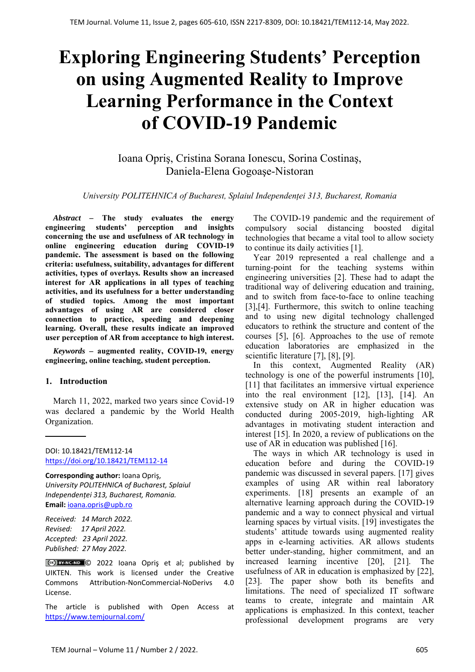# **Exploring Engineering Students' Perception on using Augmented Reality to Improve Learning Performance in the Context of COVID-19 Pandemic**

Ioana Opriş, Cristina Sorana Ionescu, Sorina Costinaş, Daniela-Elena Gogoaşe-Nistoran

#### *University POLITEHNICA of Bucharest, Splaiul Independenței 313, Bucharest, Romania*

*Abstract –* **The study evaluates the energy engineering students' perception and insights concerning the use and usefulness of AR technology in online engineering education during COVID-19 pandemic. The assessment is based on the following criteria: usefulness, suitability, advantages for different activities, types of overlays. Results show an increased interest for AR applications in all types of teaching activities, and its usefulness for a better understanding of studied topics. Among the most important advantages of using AR are considered closer connection to practice, speeding and deepening learning. Overall, these results indicate an improved user perception of AR from acceptance to high interest.** 

*Keywords –* **augmented reality, COVID-19, energy engineering, online teaching, student perception.** 

## **1. Introduction**

March 11, 2022, marked two years since Covid-19 was declared a pandemic by the World Health Organization.

DOI: 10.18421/TEM112-14 [https://doi.org/10.18421/TEM112](https://doi.org/10.18421/TEM112-14)-14

**Corresponding author:** Ioana Opriş, *University POLITEHNICA of Bucharest, Splaiul Independenței 313, Bucharest, Romania.*  **Email:** ioana.opris@upb.ro

*Received: 14 March 2022. Revised: 17 April 2022. Accepted: 23 April 2022. Published: 27 May 2022.* 

© 2022 Ioana Opriş et al; published by UIKTEN. This work is licensed under the Creative Commons Attribution‐NonCommercial‐NoDerivs 4.0 License.

The article is published with Open Access at https://www.temjournal.com/

The COVID-19 pandemic and the requirement of compulsory social distancing boosted digital technologies that became a vital tool to allow society to continue its daily activities [1].

Year 2019 represented a real challenge and a turning-point for the teaching systems within engineering universities [2]. These had to adapt the traditional way of delivering education and training, and to switch from face-to-face to online teaching [3],[4]. Furthermore, this switch to online teaching and to using new digital technology challenged educators to rethink the structure and content of the courses [5], [6]. Approaches to the use of remote education laboratories are emphasized in the scientific literature [7], [8], [9].

In this context, Augmented Reality (AR) technology is one of the powerful instruments [10], [11] that facilitates an immersive virtual experience into the real environment [12], [13], [14]. An extensive study on AR in higher education was conducted during 2005-2019, high-lighting AR advantages in motivating student interaction and interest [15]. In 2020, a review of publications on the use of AR in education was published [16].

The ways in which AR technology is used in education before and during the COVID-19 pandemic was discussed in several papers. [17] gives examples of using AR within real laboratory experiments. [18] presents an example of an alternative learning approach during the COVID-19 pandemic and a way to connect physical and virtual learning spaces by virtual visits. [19] investigates the students' attitude towards using augmented reality apps in e-learning activities. AR allows students better under-standing, higher commitment, and an increased learning incentive [20], [21]. The usefulness of AR in education is emphasized by [22], [23]. The paper show both its benefits and limitations. The need of specialized IT software teams to create, integrate and maintain AR applications is emphasized. In this context, teacher professional development programs are very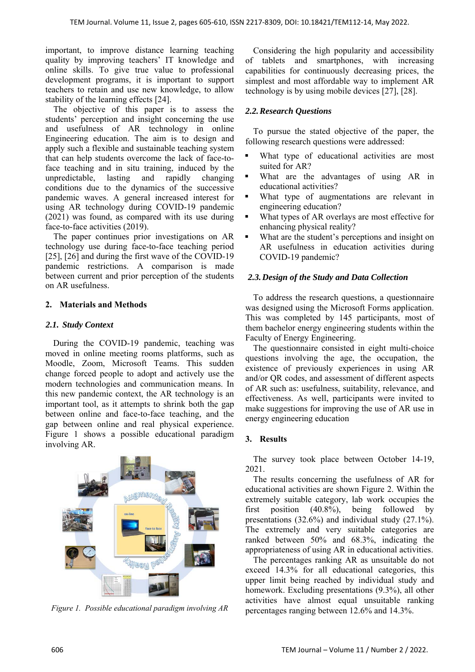important, to improve distance learning teaching quality by improving teachers' IT knowledge and online skills. To give true value to professional development programs, it is important to support teachers to retain and use new knowledge, to allow stability of the learning effects [24].

The objective of this paper is to assess the students' perception and insight concerning the use and usefulness of AR technology in online Engineering education. The aim is to design and apply such a flexible and sustainable teaching system that can help students overcome the lack of face-toface teaching and in situ training, induced by the unpredictable, lasting and rapidly changing conditions due to the dynamics of the successive pandemic waves. A general increased interest for using AR technology during COVID-19 pandemic (2021) was found, as compared with its use during face-to-face activities (2019).

The paper continues prior investigations on AR technology use during face-to-face teaching period [25], [26] and during the first wave of the COVID-19 pandemic restrictions. A comparison is made between current and prior perception of the students on AR usefulness.

# **2. Materials and Methods**

# *2.1. Study Context*

During the COVID-19 pandemic, teaching was moved in online meeting rooms platforms, such as Moodle, Zoom, Microsoft Teams. This sudden change forced people to adopt and actively use the modern technologies and communication means. In this new pandemic context, the AR technology is an important tool, as it attempts to shrink both the gap between online and face-to-face teaching, and the gap between online and real physical experience. Figure 1 shows a possible educational paradigm involving AR.



*Figure 1. Possible educational paradigm involving AR* 

Considering the high popularity and accessibility of tablets and smartphones, with increasing capabilities for continuously decreasing prices, the simplest and most affordable way to implement AR technology is by using mobile devices [27], [28].

# *2.2.Research Questions*

To pursue the stated objective of the paper, the following research questions were addressed:

- What type of educational activities are most suited for AR?
- What are the advantages of using AR in educational activities?
- What type of augmentations are relevant in engineering education?
- What types of AR overlays are most effective for enhancing physical reality?
- What are the student's perceptions and insight on AR usefulness in education activities during COVID-19 pandemic?

## *2.3.Design of the Study and Data Collection*

To address the research questions, a questionnaire was designed using the Microsoft Forms application. This was completed by 145 participants, most of them bachelor energy engineering students within the Faculty of Energy Engineering.

The questionnaire consisted in eight multi-choice questions involving the age, the occupation, the existence of previously experiences in using AR and/or QR codes, and assessment of different aspects of AR such as: usefulness, suitability, relevance, and effectiveness. As well, participants were invited to make suggestions for improving the use of AR use in energy engineering education

## **3. Results**

The survey took place between October 14-19, 2021.

The results concerning the usefulness of AR for educational activities are shown Figure 2. Within the extremely suitable category, lab work occupies the first position (40.8%), being followed by presentations (32.6%) and individual study (27.1%). The extremely and very suitable categories are ranked between 50% and 68.3%, indicating the appropriateness of using AR in educational activities.

The percentages ranking AR as unsuitable do not exceed 14.3% for all educational categories, this upper limit being reached by individual study and homework. Excluding presentations (9.3%), all other activities have almost equal unsuitable ranking percentages ranging between 12.6% and 14.3%.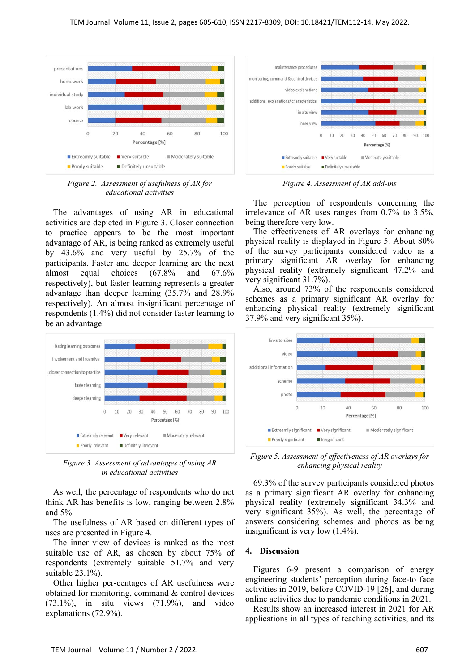

*Figure 2. Assessment of usefulness of AR for educational activities* 

The advantages of using AR in educational activities are depicted in Figure 3. Closer connection to practice appears to be the most important advantage of AR, is being ranked as extremely useful by 43.6% and very useful by 25.7% of the participants. Faster and deeper learning are the next almost equal choices (67.8% and 67.6% respectively), but faster learning represents a greater advantage than deeper learning (35.7% and 28.9% respectively). An almost insignificant percentage of respondents (1.4%) did not consider faster learning to be an advantage.



*Figure 3. Assessment of advantages of using AR in educational activities* 

As well, the percentage of respondents who do not think AR has benefits is low, ranging between 2.8% and 5%.

The usefulness of AR based on different types of uses are presented in Figure 4.

The inner view of devices is ranked as the most suitable use of AR, as chosen by about 75% of respondents (extremely suitable 51.7% and very suitable 23.1%).

Other higher per-centages of AR usefulness were obtained for monitoring, command & control devices (73.1%), in situ views (71.9%), and video explanations (72.9%).



*Figure 4. Assessment of AR add-ins* 

The perception of respondents concerning the irrelevance of AR uses ranges from 0.7% to 3.5%, being therefore very low.

The effectiveness of AR overlays for enhancing physical reality is displayed in Figure 5. About 80% of the survey participants considered video as a primary significant AR overlay for enhancing physical reality (extremely significant 47.2% and very significant 31.7%).

Also, around 73% of the respondents considered schemes as a primary significant AR overlay for enhancing physical reality (extremely significant 37.9% and very significant 35%).



*Figure 5. Assessment of effectiveness of AR overlays for enhancing physical reality* 

69.3% of the survey participants considered photos as a primary significant AR overlay for enhancing physical reality (extremely significant 34.3% and very significant 35%). As well, the percentage of answers considering schemes and photos as being insignificant is very low (1.4%).

#### **4. Discussion**

Figures 6-9 present a comparison of energy engineering students' perception during face-to face activities in 2019, before COVID-19 [26], and during online activities due to pandemic conditions in 2021.

Results show an increased interest in 2021 for AR applications in all types of teaching activities, and its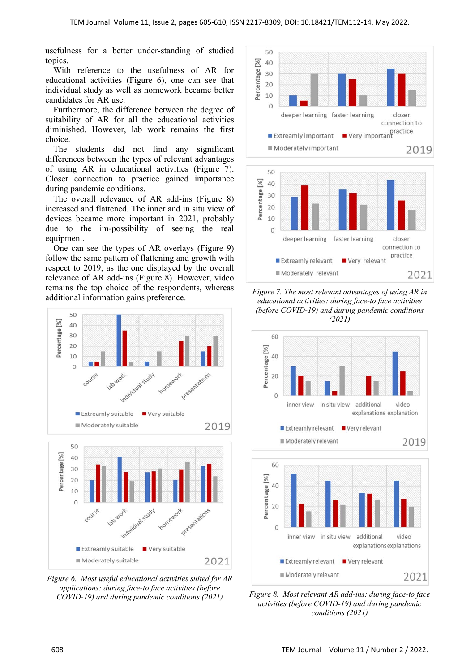usefulness for a better under-standing of studied topics.

With reference to the usefulness of AR for educational activities (Figure 6), one can see that individual study as well as homework became better candidates for AR use.

Furthermore, the difference between the degree of suitability of AR for all the educational activities diminished. However, lab work remains the first choice.

The students did not find any significant differences between the types of relevant advantages of using AR in educational activities (Figure 7). Closer connection to practice gained importance during pandemic conditions.

The overall relevance of AR add-ins (Figure 8) increased and flattened. The inner and in situ view of devices became more important in 2021, probably due to the im-possibility of seeing the real equipment.

One can see the types of AR overlays (Figure 9) follow the same pattern of flattening and growth with respect to 2019, as the one displayed by the overall relevance of AR add-ins (Figure 8). However, video remains the top choice of the respondents, whereas additional information gains preference.



*Figure 6. Most useful educational activities suited for AR applications: during face-to face activities (before COVID-19) and during pandemic conditions (2021)* 



*Figure 7. The most relevant advantages of using AR in educational activities: during face-to face activities (before COVID-19) and during pandemic conditions (2021)* 



*Figure 8. Most relevant AR add-ins: during face-to face activities (before COVID-19) and during pandemic conditions (2021)*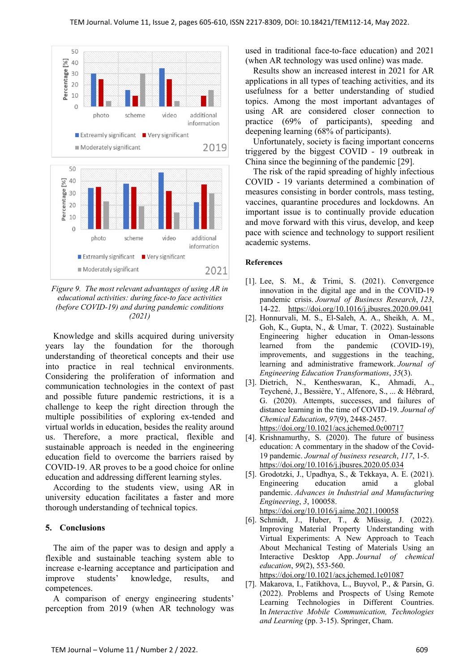

*Figure 9. The most relevant advantages of using AR in educational activities: during face-to face activities (before COVID-19) and during pandemic conditions (2021)* 

Knowledge and skills acquired during university years lay the foundation for the thorough understanding of theoretical concepts and their use into practice in real technical environments. Considering the proliferation of information and communication technologies in the context of past and possible future pandemic restrictions, it is a challenge to keep the right direction through the multiple possibilities of exploring ex-tended and virtual worlds in education, besides the reality around us. Therefore, a more practical, flexible and sustainable approach is needed in the engineering education field to overcome the barriers raised by COVID-19. AR proves to be a good choice for online education and addressing different learning styles.

According to the students view, using AR in university education facilitates a faster and more thorough understanding of technical topics.

#### **5. Conclusions**

The aim of the paper was to design and apply a flexible and sustainable teaching system able to increase e-learning acceptance and participation and improve students' knowledge, results, and competences.

A comparison of energy engineering students' perception from 2019 (when AR technology was used in traditional face-to-face education) and 2021 (when AR technology was used online) was made.

Results show an increased interest in 2021 for AR applications in all types of teaching activities, and its usefulness for a better understanding of studied topics. Among the most important advantages of using AR are considered closer connection to practice (69% of participants), speeding and deepening learning (68% of participants).

Unfortunately, society is facing important concerns triggered by the biggest COVID - 19 outbreak in China since the beginning of the pandemic [29].

The risk of the rapid spreading of highly infectious COVID - 19 variants determined a combination of measures consisting in border controls, mass testing, vaccines, quarantine procedures and lockdowns. An important issue is to continually provide education and move forward with this virus, develop, and keep pace with science and technology to support resilient academic systems.

#### **References**

- [1]. Lee, S. M., & Trimi, S. (2021). Convergence innovation in the digital age and in the COVID-19 pandemic crisis. *Journal of Business Research*, *123*, 14-22. https://doi.org/10.1016/j.jbusres.2020.09.041
- [2]. Honnurvali, M. S., El-Saleh, A. A., Sheikh, A. M., Goh, K., Gupta, N., & Umar, T. (2022). Sustainable Engineering higher education in Oman-lessons learned from the pandemic (COVID-19), improvements, and suggestions in the teaching, learning and administrative framework. *Journal of Engineering Education Transformations*, *35*(3).
- [3]. Dietrich, N., Kentheswaran, K., Ahmadi, A., Teychené, J., Bessière, Y., Alfenore, S., ... & Hébrard, G. (2020). Attempts, successes, and failures of distance learning in the time of COVID-19. *Journal of Chemical Education*, *97*(9), 2448-2457. https://doi.org/10.1021/acs.jchemed.0c00717
- [4]. Krishnamurthy, S. (2020). The future of business education: A commentary in the shadow of the Covid-19 pandemic. *Journal of business research*, *117*, 1-5. https://doi.org/10.1016/j.jbusres.2020.05.034
- [5]. Grodotzki, J., Upadhya, S., & Tekkaya, A. E. (2021). Engineering education amid a global pandemic. *Advances in Industrial and Manufacturing Engineering*, *3*, 100058.
	- https://doi.org/10.1016/j.aime.2021.100058
- [6]. Schmidt, J., Huber, T., & Müssig, J. (2022). Improving Material Property Understanding with Virtual Experiments: A New Approach to Teach About Mechanical Testing of Materials Using an Interactive Desktop App. *Journal of chemical education*, *99*(2), 553-560. https://doi.org/10.1021/acs.jchemed.1c01087
- [7]. Makarova, I., Fatikhova, L., Buyvol, P., & Parsin, G. (2022). Problems and Prospects of Using Remote Learning Technologies in Different Countries. In *Interactive Mobile Communication, Technologies and Learning* (pp. 3-15). Springer, Cham.